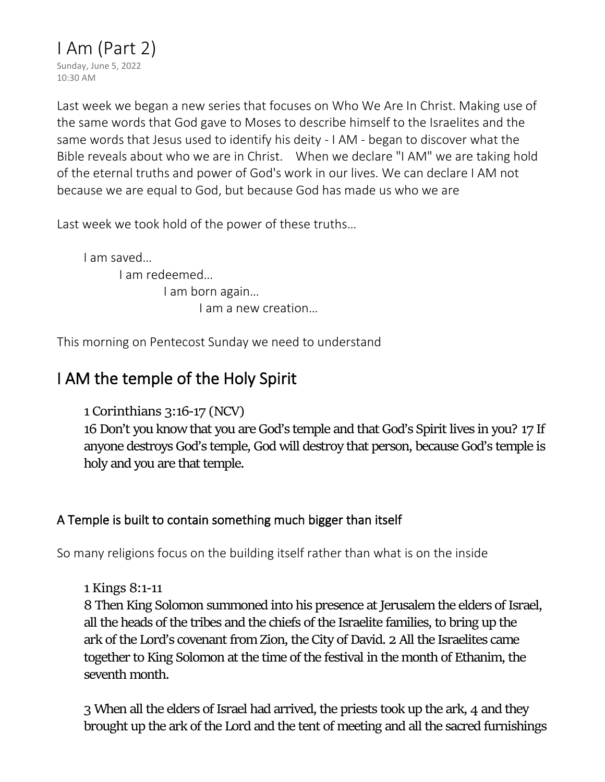Last week we began a new series that focuses on Who We Are In Christ. Making use of the same words that God gave to Moses to describe himself to the Israelites and the same words that Jesus used to identify his deity - I AM - began to discover what the Bible reveals about who we are in Christ. When we declare "I AM" we are taking hold of the eternal truths and power of God's work in our lives. We can declare I AM not because we are equal to God, but because God has made us who we are

Last week we took hold of the power of these truths…

I am saved… I am redeemed… I am born again… I am a new creation…

This morning on Pentecost Sunday we need to understand

# I AM the temple of the Holy Spirit

**1 Corinthians 3:16-17 (NCV)**

**16** Don't you know that you are God's temple and that God's Spirit lives in you? **17** If anyone destroys God's temple, God will destroy that person, because God's temple is holy and you are that temple.

## A Temple is built to contain something much bigger than itself

So many religions focus on the building itself rather than what is on the inside

**1 Kings 8:1-11**

**8** Then King Solomon summoned into his presence at Jerusalem the elders of Israel, all the heads of the tribes and the chiefs of the Israelite families, to bring up the ark of the Lord's covenant from Zion, the City of David. **2** All the Israelites came together to King Solomon at the time of the festival in the month of Ethanim, the seventh month.

**3** When all the elders of Israel had arrived, the priests took up the ark, **4** and they brought up the ark of the Lord and the tent of meeting and all the sacred furnishings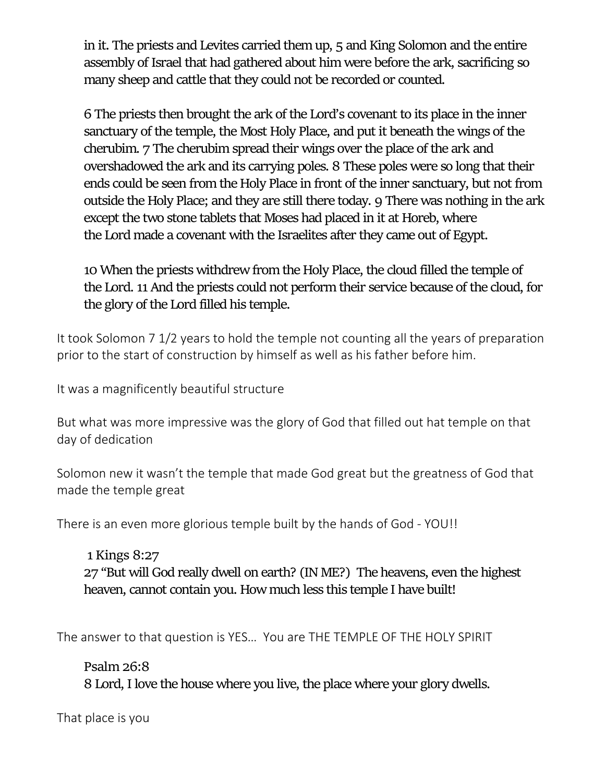in it. The priests and Levites carried them up, **5** and King Solomon and the entire assembly of Israel that had gathered about him were before the ark, sacrificing so many sheep and cattle that they could not be recorded or counted.

**6** The priests then brought the ark of the Lord's covenant to its place in the inner sanctuary of the temple, the Most Holy Place, and put it beneath the wings of the cherubim. **7** The cherubim spread their wings over the place of the ark and overshadowed the ark and its carrying poles. **8** These poles were so long that their ends could be seen from the Holy Place in front of the inner sanctuary, but not from outside the Holy Place; and they are still there today. **9** There was nothing in the ark except the two stone tablets that Moses had placed in it at Horeb, where the Lord made a covenant with the Israelites after they came out of Egypt.

**10** When the priests withdrew from the Holy Place, the cloud filled the temple of the Lord. **11** And the priests could not perform their service because of the cloud, for the glory of the Lord filled his temple.

It took Solomon 7 1/2 years to hold the temple not counting all the years of preparation prior to the start of construction by himself as well as his father before him.

It was a magnificently beautiful structure

But what was more impressive was the glory of God that filled out hat temple on that day of dedication

Solomon new it wasn't the temple that made God great but the greatness of God that made the temple great

There is an even more glorious temple built by the hands of God - YOU!!

**1 Kings 8:27 27** "But will God really dwell on earth? (IN ME?) The heavens, even the highest heaven, cannot contain you. How much less this temple I have built!

The answer to that question is YES… You are THE TEMPLE OF THE HOLY SPIRIT

**Psalm 26:8 8** Lord, I love the house where you live, the place where your glory dwells.

That place is you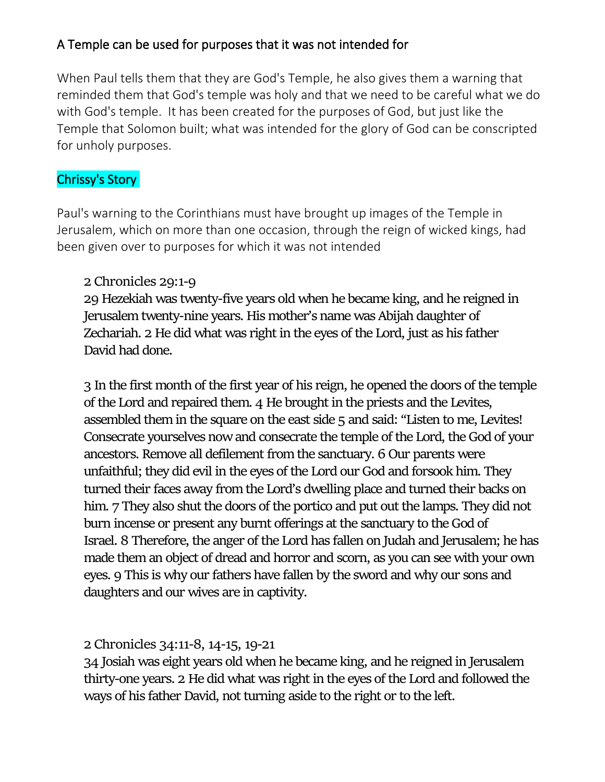## A Temple can be used for purposes that it was not intended for

When Paul tells them that they are God's Temple, he also gives them a warning that reminded them that God's temple was holy and that we need to be careful what we do with God's temple. It has been created for the purposes of God, but just like the Temple that Solomon built; what was intended for the glory of God can be conscripted for unholy purposes.

## Chrissy's Story

Paul's warning to the Corinthians must have brought up images of the Temple in Jerusalem, which on more than one occasion, through the reign of wicked kings, had been given over to purposes for which it was not intended

## **2 Chronicles 29:1-9**

**29** Hezekiah was twenty-five years old when he became king, and he reigned in Jerusalem twenty-nine years. His mother's name was Abijah daughter of Zechariah. **2** He did what was right in the eyes of the Lord, just as his father David had done.

**3** In the first month of the first year of his reign, he opened the doors of the temple of the Lord and repaired them. **4** He brought in the priests and the Levites, assembled them in the square on the east side **5** and said: "Listen to me, Levites! Consecrate yourselves now and consecrate the temple of the Lord, the God of your ancestors. Remove all defilement from the sanctuary. **6** Our parents were unfaithful; they did evil in the eyes of the Lord our God and forsook him. They turned their faces away from the Lord's dwelling place and turned their backs on him. **7** They also shut the doors of the portico and put out the lamps. They did not burn incense or present any burnt offerings at the sanctuary to the God of Israel. **8** Therefore, the anger of the Lord has fallen on Judah and Jerusalem; he has made them an object of dread and horror and scorn, as you can see with your own eyes. **9** This is why our fathers have fallen by the sword and why our sons and daughters and our wives are in captivity.

## **2 Chronicles 34:11-8, 14-15, 19-21**

**34** Josiah was eight years old when he became king, and he reigned in Jerusalem thirty-one years. **2** He did what was right in the eyes of the Lord and followed the ways of his father David, not turning aside to the right or to the left.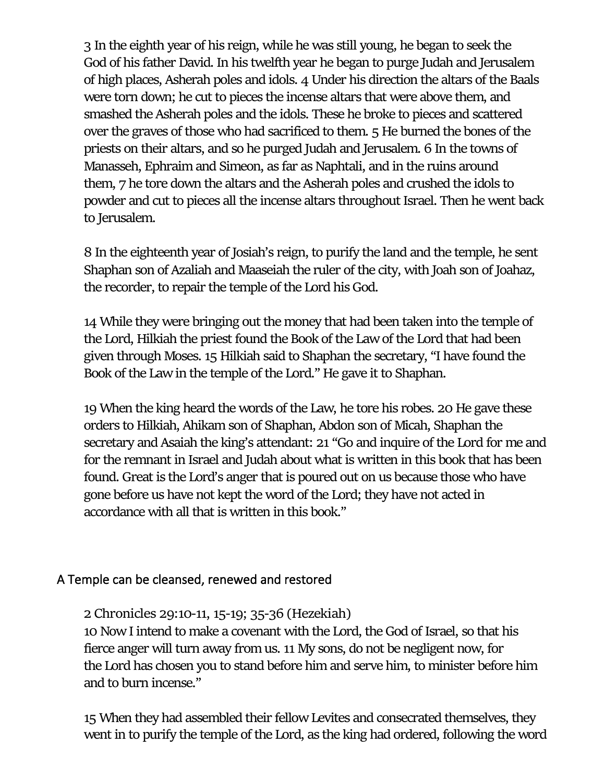**3** In the eighth year of his reign, while he was still young, he began to seek the God of his father David. In his twelfth year he began to purge Judah and Jerusalem of high places, Asherah poles and idols. **4** Under his direction the altars of the Baals were torn down; he cut to pieces the incense altars that were above them, and smashed the Asherah poles and the idols. These he broke to pieces and scattered over the graves of those who had sacrificed to them. **5** He burned the bones of the priests on their altars, and so he purged Judah and Jerusalem. **6** In the towns of Manasseh, Ephraim and Simeon, as far as Naphtali, and in the ruins around them, **7** he tore down the altars and the Asherah poles and crushed the idols to powder and cut to pieces all the incense altars throughout Israel. Then he went back to Jerusalem.

**8** In the eighteenth year of Josiah's reign, to purify the land and the temple, he sent Shaphan son of Azaliah and Maaseiah the ruler of the city, with Joah son of Joahaz, the recorder, to repair the temple of the Lord his God.

**14** While they were bringing out the money that had been taken into the temple of the Lord, Hilkiah the priest found the Book of the Law of the Lord that had been given through Moses. **15** Hilkiah said to Shaphan the secretary, "I have found the Book of the Law in the temple of the Lord." He gave it to Shaphan.

**19** When the king heard the words of the Law, he tore his robes. **20** He gave these orders to Hilkiah, Ahikam son of Shaphan, Abdon son of Micah, Shaphan the secretary and Asaiah the king's attendant: **21** "Go and inquire of the Lord for me and for the remnant in Israel and Judah about what is written in this book that has been found. Great is the Lord's anger that is poured out on us because those who have gone before us have not kept the word of the Lord; they have not acted in accordance with all that is written in this book."

#### A Temple can be cleansed, renewed and restored

**2 Chronicles 29:10-11, 15-19; 35-36 (Hezekiah)** 

**10** Now I intend to make a covenant with the Lord, the God of Israel, so that his fierce anger will turn away from us. **11** My sons, do not be negligent now, for the Lord has chosen you to stand before him and serve him, to minister before him and to burn incense."

**15** When they had assembled their fellow Levites and consecrated themselves, they went in to purify the temple of the Lord, as the king had ordered, following the word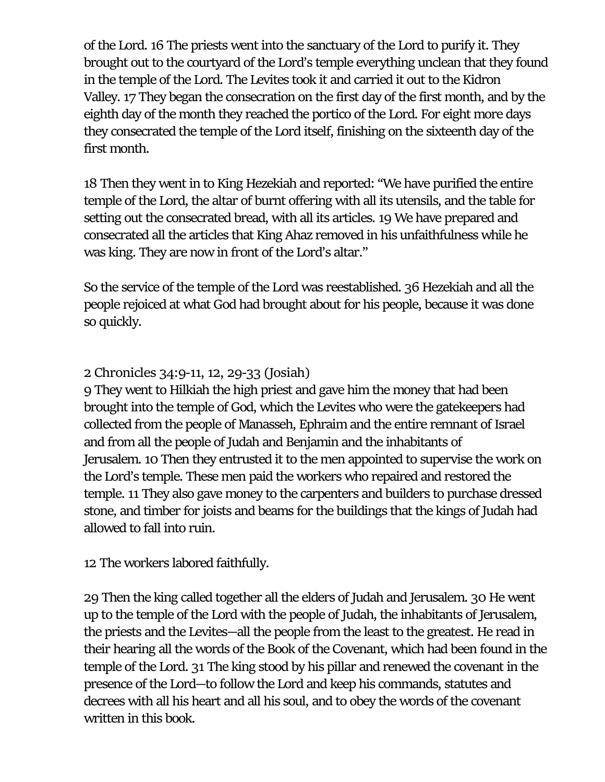of the Lord. **16** The priests went into the sanctuary of the Lord to purify it. They brought out to the courtyard of the Lord's temple everything unclean that they found in the temple of the Lord. The Levites took it and carried it out to the Kidron Valley. **17** They began the consecration on the first day of the first month, and by the eighth day of the month they reached the portico of the Lord. For eight more days they consecrated the temple of the Lord itself, finishing on the sixteenth day of the first month.

**18** Then they went in to King Hezekiah and reported: "We have purified the entire temple of the Lord, the altar of burnt offering with all its utensils, and the table for setting out the consecrated bread, with all its articles. **19** We have prepared and consecrated all the articles that King Ahaz removed in his unfaithfulness while he was king. They are now in front of the Lord's altar."

So the service of the temple of the Lord was reestablished. **36** Hezekiah and all the people rejoiced at what God had brought about for his people, because it was done so quickly.

#### **2 Chronicles 34:9-11, 12, 29-33 (Josiah)**

**9** They went to Hilkiah the high priest and gave him the money that had been brought into the temple of God, which the Levites who were the gatekeepers had collected from the people of Manasseh, Ephraim and the entire remnant of Israel and from all the people of Judah and Benjamin and the inhabitants of Jerusalem. **10** Then they entrusted it to the men appointed to supervise the work on the Lord's temple. These men paid the workers who repaired and restored the temple. **11** They also gave money to the carpenters and builders to purchase dressed stone, and timber for joists and beams for the buildings that the kings of Judah had allowed to fall into ruin.

**12** The workers labored faithfully.

**29** Then the king called together all the elders of Judah and Jerusalem. **30** He went up to the temple of the Lord with the people of Judah, the inhabitants of Jerusalem, the priests and the Levites—all the people from the least to the greatest. He read in their hearing all the words of the Book of the Covenant, which had been found in the temple of the Lord. **31** The king stood by his pillar and renewed the covenant in the presence of the Lord—to follow the Lord and keep his commands, statutes and decrees with all his heart and all his soul, and to obey the words of the covenant written in this book.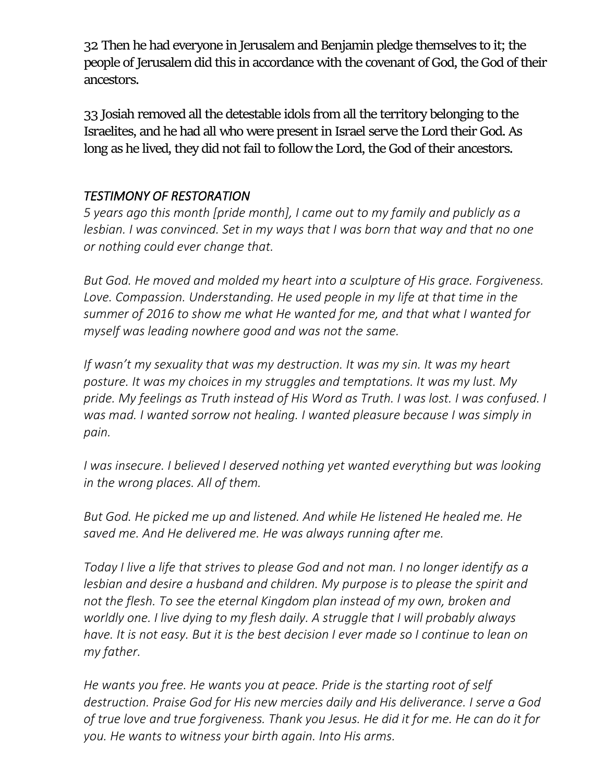**32** Then he had everyone in Jerusalem and Benjamin pledge themselves to it; the people of Jerusalem did this in accordance with the covenant of God, the God of their ancestors.

**33** Josiah removed all the detestable idols from all the territory belonging to the Israelites, and he had all who were present in Israel serve the Lord their God. As long as he lived, they did not fail to follow the Lord, the God of their ancestors.

## *TESTIMONY OF RESTORATION*

*5 years ago this month [pride month], I came out to my family and publicly as a lesbian. I was convinced. Set in my ways that I was born that way and that no one or nothing could ever change that.* 

*But God. He moved and molded my heart into a sculpture of His grace. Forgiveness.*  Love. Compassion. Understanding. He used people in my life at that time in the *summer of 2016 to show me what He wanted for me, and that what I wanted for myself was leading nowhere good and was not the same.* 

*If wasn't my sexuality that was my destruction. It was my sin. It was my heart posture. It was my choices in my struggles and temptations. It was my lust. My pride. My feelings as Truth instead of His Word as Truth. I was lost. I was confused. I was mad. I wanted sorrow not healing. I wanted pleasure because I was simply in pain.* 

*I* was insecure. *I believed I deserved nothing yet wanted everything but was looking in the wrong places. All of them.* 

*But God. He picked me up and listened. And while He listened He healed me. He saved me. And He delivered me. He was always running after me.* 

*Today I live a life that strives to please God and not man. I no longer identify as a lesbian and desire a husband and children. My purpose is to please the spirit and not the flesh. To see the eternal Kingdom plan instead of my own, broken and worldly one. I live dying to my flesh daily. A struggle that I will probably always have. It is not easy. But it is the best decision I ever made so I continue to lean on my father.* 

*He wants you free. He wants you at peace. Pride is the starting root of self destruction. Praise God for His new mercies daily and His deliverance. I serve a God of true love and true forgiveness. Thank you Jesus. He did it for me. He can do it for you. He wants to witness your birth again. Into His arms.*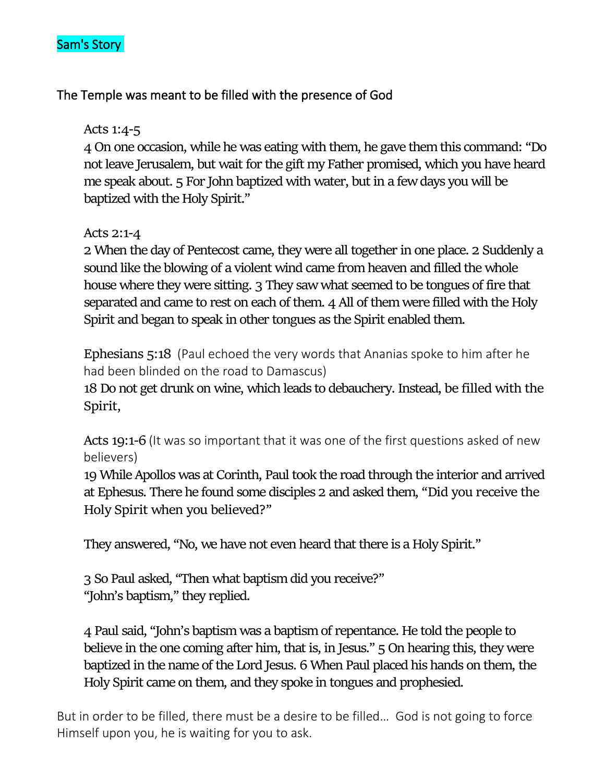

#### The Temple was meant to be filled with the presence of God

#### **Acts 1:4-5**

**4** On one occasion, while he was eating with them, he gave them this command: "Do not leave Jerusalem, but wait for the gift my Father promised, which you have heard me speak about. **5** For John baptized with water, but in a few days you will be baptized with the Holy Spirit."

#### **Acts 2:1-4**

**2** When the day of Pentecost came, they were all together in one place. **2** Suddenly a sound like the blowing of a violent wind came from heaven and filled the whole house where they were sitting. **3** They saw what seemed to be tongues of fire that separated and came to rest on each of them. **4** All of them were filled with the Holy Spirit and began to speak in other tongues as the Spirit enabled them.

**Ephesians 5:18** (Paul echoed the very words that Ananias spoke to him after he had been blinded on the road to Damascus)

**18** Do not get drunk on wine, which leads to debauchery. Instead, **be filled with the Spirit**,

**Acts 19:1-6** (It was so important that it was one of the first questions asked of new believers)

**19** While Apollos was at Corinth, Paul took the road through the interior and arrived at Ephesus. There he found some disciples **2** and asked them, **"Did you receive the Holy Spirit when you believed?"**

They answered, "No, we have not even heard that there is a Holy Spirit."

**3** So Paul asked, "Then what baptism did you receive?" "John's baptism," they replied.

**4** Paul said, "John's baptism was a baptism of repentance. He told the people to believe in the one coming after him, that is, in Jesus." **5** On hearing this, they were baptized in the name of the Lord Jesus. **6** When Paul placed his hands on them, the Holy Spirit came on them, and they spoke in tongues and prophesied.

But in order to be filled, there must be a desire to be filled… God is not going to force Himself upon you, he is waiting for you to ask.